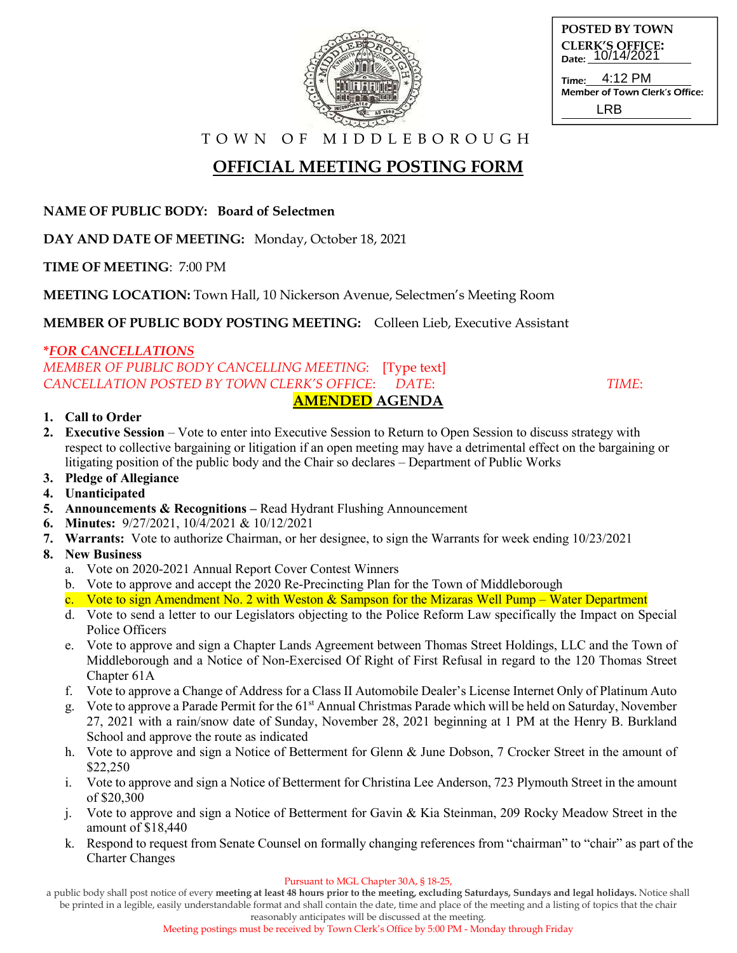

| <b>POSTED BY TOWN</b>                      |  |
|--------------------------------------------|--|
| <b>CLERK'S OFFICE:</b><br>Date: 10/14/2021 |  |
| Time: 4:12 PM                              |  |
| Mambar of Town Clark's Off                 |  |

Member of Town Clerk's Office: LRB

T O W N O F M I D D L E B O R O U G H

# **OFFICIAL MEETING POSTING FORM**

**NAME OF PUBLIC BODY: Board of Selectmen**

**DAY AND DATE OF MEETING:** Monday, October 18, 2021

**TIME OF MEETING**: 7:00 PM

**MEETING LOCATION:** Town Hall, 10 Nickerson Avenue, Selectmen's Meeting Room

**MEMBER OF PUBLIC BODY POSTING MEETING:** Colleen Lieb, Executive Assistant

### **\****FOR CANCELLATIONS*

*MEMBER OF PUBLIC BODY CANCELLING MEETING*: [Type text] *CANCELLATION POSTED BY TOWN CLERK'S OFFICE*: *DATE*: *TIME*: **AMENDED AGENDA** 

#### **1. Call to Order**

- **2. Executive Session** Vote to enter into Executive Session to Return to Open Session to discuss strategy with respect to collective bargaining or litigation if an open meeting may have a detrimental effect on the bargaining or litigating position of the public body and the Chair so declares – Department of Public Works
- **3. Pledge of Allegiance**
- **4. Unanticipated**
- **5. Announcements & Recognitions –** Read Hydrant Flushing Announcement
- **6. Minutes:** 9/27/2021, 10/4/2021 & 10/12/2021
- **7. Warrants:** Vote to authorize Chairman, or her designee, to sign the Warrants for week ending 10/23/2021

### **8. New Business**

- a. Vote on 2020-2021 Annual Report Cover Contest Winners
- b. Vote to approve and accept the 2020 Re-Precincting Plan for the Town of Middleborough
- c. Vote to sign Amendment No. 2 with Weston & Sampson for the Mizaras Well Pump Water Department
- d. Vote to send a letter to our Legislators objecting to the Police Reform Law specifically the Impact on Special Police Officers
- e. Vote to approve and sign a Chapter Lands Agreement between Thomas Street Holdings, LLC and the Town of Middleborough and a Notice of Non-Exercised Of Right of First Refusal in regard to the 120 Thomas Street Chapter 61A
- f. Vote to approve a Change of Address for a Class II Automobile Dealer's License Internet Only of Platinum Auto
- g. Vote to approve a Parade Permit for the 61st Annual Christmas Parade which will be held on Saturday, November 27, 2021 with a rain/snow date of Sunday, November 28, 2021 beginning at 1 PM at the Henry B. Burkland School and approve the route as indicated
- h. Vote to approve and sign a Notice of Betterment for Glenn & June Dobson, 7 Crocker Street in the amount of \$22,250
- i. Vote to approve and sign a Notice of Betterment for Christina Lee Anderson, 723 Plymouth Street in the amount of \$20,300
- j. Vote to approve and sign a Notice of Betterment for Gavin & Kia Steinman, 209 Rocky Meadow Street in the amount of \$18,440
- k. Respond to request from Senate Counsel on formally changing references from "chairman" to "chair" as part of the Charter Changes

#### Pursuant to MGL Chapter 30A, § 18-25,

a public body shall post notice of every **meeting at least 48 hours prior to the meeting, excluding Saturdays, Sundays and legal holidays.** Notice shall be printed in a legible, easily understandable format and shall contain the date, time and place of the meeting and a listing of topics that the chair

reasonably anticipates will be discussed at the meeting.